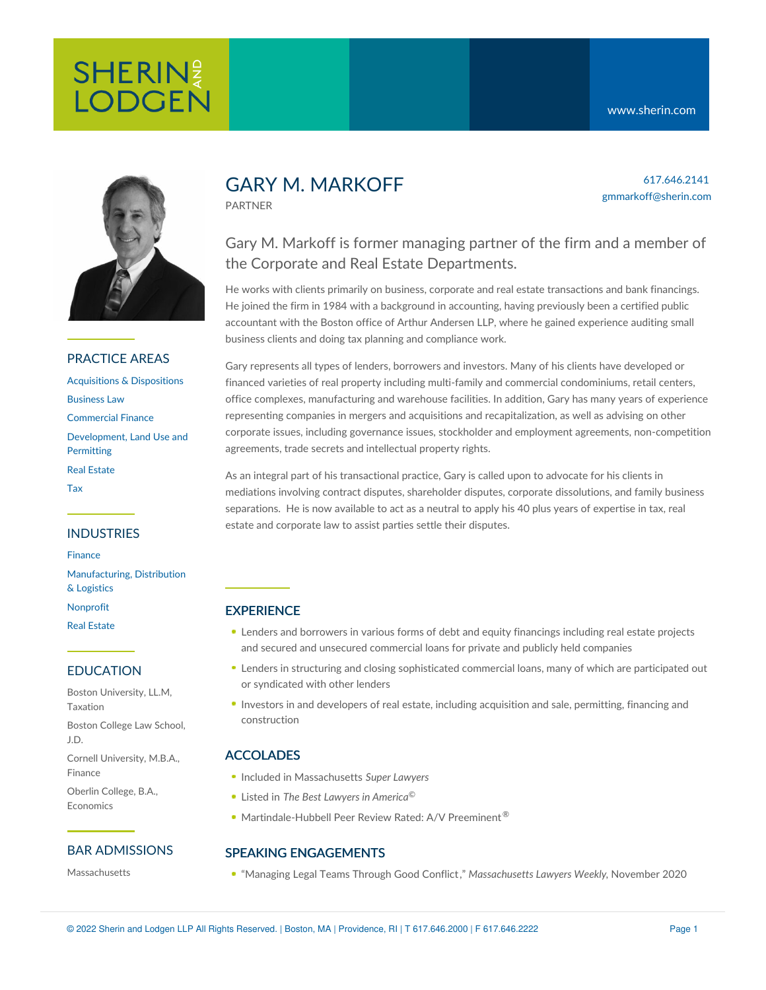

#### PRACTICE AREAS

[Acquisitions](https://www.sherin.com/practice-areas/real-estate/acquisitions-and-dispositions/) & Dispositions [Business](https://www.sherin.com/practice-areas/business-law/) Law [Commercial](https://www.sherin.com/practice-areas/commercial-finance/) Finance [Development,](https://www.sherin.com/practice-areas/real-estate/development/) Land Use and **Permitting** Real [Estate](https://www.sherin.com/practice-areas/real-estate/) [Tax](https://www.sherin.com/practice-areas/business-law/tax/)

#### INDUSTRIES

[Finance](https://www.sherin.com/industries/finance/)

[Manufacturing,](https://www.sherin.com/industries/manufacturing-distribution-and-logistics/) Distribution & Logistics

[Nonprofit](https://www.sherin.com/industries/nonprofit/)

Real [Estate](https://www.sherin.com/industries/real-estate/)

#### EDUCATION

Boston University, LL.M, Taxation Boston College Law School, J.D.

Cornell University, M.B.A., Finance

Oberlin College, B.A., Economics

#### BAR ADMISSIONS

**Massachusetts** 

## GARY M. MARKOFF

PARTNER

#### 617.646.2141 gmmarkoff@sherin.com

### Gary M. Markoff is former managing partner of the firm and a member of the Corporate and Real Estate Departments.

He works with clients primarily on business, corporate and real estate transactions and bank financings. He joined the firm in 1984 with a background in accounting, having previously been a certified public accountant with the Boston office of Arthur Andersen LLP, where he gained experience auditing small business clients and doing tax planning and compliance work.

Gary represents all types of lenders, borrowers and investors. Many of his clients have developed or financed varieties of real property including multi-family and commercial condominiums, retail centers, office complexes, manufacturing and warehouse facilities. In addition, Gary has many years of experience representing companies in mergers and acquisitions and recapitalization, as well as advising on other corporate issues, including governance issues, stockholder and employment agreements, non-competition agreements, trade secrets and intellectual property rights.

As an integral part of his transactional practice, Gary is called upon to advocate for his clients in mediations involving contract disputes, shareholder disputes, corporate dissolutions, and family business separations. He is now available to act as a neutral to apply his 40 plus years of expertise in tax, real estate and corporate law to assist parties settle their disputes.

#### **EXPERIENCE**

- Lenders and borrowers in various forms of debt and equity financings including real estate projects and secured and unsecured commercial loans for private and publicly held companies
- Lenders in structuring and closing sophisticated commercial loans, many of which are participated out or syndicated with other lenders
- Investors in and developers of real estate, including acquisition and sale, permitting, financing and construction

#### ACCOLADES

- Included in Massachusetts *Super Lawyers*
- Listed in *The Best Lawyers in America* ©
- Martindale-Hubbell Peer Review Rated: A/V Preeminent<sup>®</sup>

#### SPEAKING ENGAGEMENTS

"[Managing](http://www.legalnews.com/detroit/1493509/) Legal Teams Through Good Conflict," *Massachusetts Lawyers Weekly*, November 2020